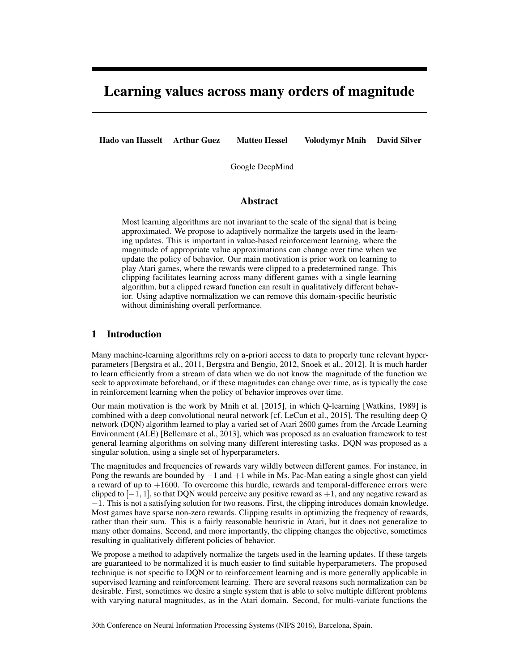# Learning values across many orders of magnitude

Hado van Hasselt Arthur Guez Matteo Hessel

Volodymyr Mnih David Silver

Google DeepMind

# Abstract

Most learning algorithms are not invariant to the scale of the signal that is being approximated. We propose to adaptively normalize the targets used in the learning updates. This is important in value-based reinforcement learning, where the magnitude of appropriate value approximations can change over time when we update the policy of behavior. Our main motivation is prior work on learning to play Atari games, where the rewards were clipped to a predetermined range. This clipping facilitates learning across many different games with a single learning algorithm, but a clipped reward function can result in qualitatively different behavior. Using adaptive normalization we can remove this domain-specific heuristic without diminishing overall performance.

## 1 Introduction

Many machine-learning algorithms rely on a-priori access to data to properly tune relevant hyperparameters [\[Bergstra et al., 2011,](#page-8-0) [Bergstra and Bengio, 2012,](#page-8-1) [Snoek et al., 2012\]](#page-8-2). It is much harder to learn efficiently from a stream of data when we do not know the magnitude of the function we seek to approximate beforehand, or if these magnitudes can change over time, as is typically the case in reinforcement learning when the policy of behavior improves over time.

Our main motivation is the work by [Mnih et al.](#page-8-3) [\[2015\]](#page-8-3), in which Q-learning [\[Watkins, 1989\]](#page-8-4) is combined with a deep convolutional neural network [cf. [LeCun et al., 2015\]](#page-8-5). The resulting deep Q network (DQN) algorithm learned to play a varied set of Atari 2600 games from the Arcade Learning Environment (ALE) [\[Bellemare et al., 2013\]](#page-7-0), which was proposed as an evaluation framework to test general learning algorithms on solving many different interesting tasks. DQN was proposed as a singular solution, using a single set of hyperparameters.

The magnitudes and frequencies of rewards vary wildly between different games. For instance, in Pong the rewards are bounded by  $-1$  and  $+1$  while in Ms. Pac-Man eating a single ghost can yield a reward of up to  $+1600$ . To overcome this hurdle, rewards and temporal-difference errors were clipped to  $[-1, 1]$ , so that DQN would perceive any positive reward as  $+1$ , and any negative reward as  $-1$ . This is not a satisfying solution for two reasons. First, the clipping introduces domain knowledge. Most games have sparse non-zero rewards. Clipping results in optimizing the frequency of rewards, rather than their sum. This is a fairly reasonable heuristic in Atari, but it does not generalize to many other domains. Second, and more importantly, the clipping changes the objective, sometimes resulting in qualitatively different policies of behavior.

We propose a method to adaptively normalize the targets used in the learning updates. If these targets are guaranteed to be normalized it is much easier to find suitable hyperparameters. The proposed technique is not specific to DQN or to reinforcement learning and is more generally applicable in supervised learning and reinforcement learning. There are several reasons such normalization can be desirable. First, sometimes we desire a single system that is able to solve multiple different problems with varying natural magnitudes, as in the Atari domain. Second, for multi-variate functions the

30th Conference on Neural Information Processing Systems (NIPS 2016), Barcelona, Spain.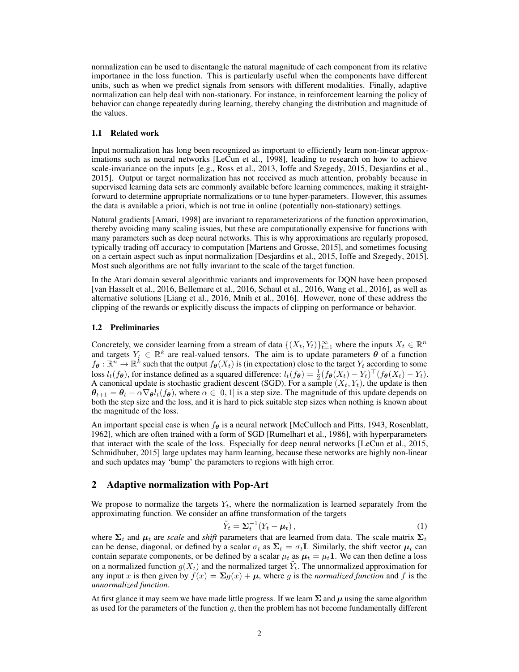normalization can be used to disentangle the natural magnitude of each component from its relative importance in the loss function. This is particularly useful when the components have different units, such as when we predict signals from sensors with different modalities. Finally, adaptive normalization can help deal with non-stationary. For instance, in reinforcement learning the policy of behavior can change repeatedly during learning, thereby changing the distribution and magnitude of the values.

#### 1.1 Related work

Input normalization has long been recognized as important to efficiently learn non-linear approximations such as neural networks [\[LeCun et al., 1998\]](#page-8-6), leading to research on how to achieve scale-invariance on the inputs [e.g., [Ross et al., 2013,](#page-8-7) [Ioffe and Szegedy, 2015,](#page-8-8) [Desjardins et al.,](#page-8-9) [2015\]](#page-8-9). Output or target normalization has not received as much attention, probably because in supervised learning data sets are commonly available before learning commences, making it straightforward to determine appropriate normalizations or to tune hyper-parameters. However, this assumes the data is available a priori, which is not true in online (potentially non-stationary) settings.

Natural gradients [\[Amari, 1998\]](#page-7-1) are invariant to reparameterizations of the function approximation, thereby avoiding many scaling issues, but these are computationally expensive for functions with many parameters such as deep neural networks. This is why approximations are regularly proposed, typically trading off accuracy to computation [\[Martens and Grosse, 2015\]](#page-8-10), and sometimes focusing on a certain aspect such as input normalization [\[Desjardins et al., 2015,](#page-8-9) [Ioffe and Szegedy, 2015\]](#page-8-8). Most such algorithms are not fully invariant to the scale of the target function.

In the Atari domain several algorithmic variants and improvements for DQN have been proposed [\[van Hasselt et al., 2016,](#page-8-11) [Bellemare et al., 2016,](#page-8-12) [Schaul et al., 2016,](#page-8-13) [Wang et al., 2016\]](#page-8-14), as well as alternative solutions [\[Liang et al., 2016,](#page-8-15) [Mnih et al., 2016\]](#page-8-16). However, none of these address the clipping of the rewards or explicitly discuss the impacts of clipping on performance or behavior.

## 1.2 Preliminaries

Concretely, we consider learning from a stream of data  $\{(X_t, Y_t)\}_{t=1}^{\infty}$  where the inputs  $X_t \in \mathbb{R}^n$ and targets  $Y_t \in \mathbb{R}^k$  are real-valued tensors. The aim is to update parameters  $\theta$  of a function  $f_{\theta}: \mathbb{R}^n \to \mathbb{R}^k$  such that the output  $f_{\theta}(X_t)$  is (in expectation) close to the target  $Y_t$  according to some loss  $l_t(f_{\theta})$ , for instance defined as a squared difference:  $l_t(f_{\theta}) = \frac{1}{2} (f_{\theta}(X_t) - Y_t)^{\top} (f_{\theta}(X_t) - Y_t)$ . A canonical update is stochastic gradient descent (SGD). For a sample  $(X_t, Y_t)$ , the update is then  $\theta_{t+1} = \theta_t - \alpha \nabla_{\theta} l_t(f_{\theta})$ , where  $\alpha \in [0,1]$  is a step size. The magnitude of this update depends on both the step size and the loss, and it is hard to pick suitable step sizes when nothing is known about the magnitude of the loss.

An important special case is when  $f_{\theta}$  is a neural network [\[McCulloch and Pitts, 1943,](#page-8-17) [Rosenblatt,](#page-8-18) [1962\]](#page-8-18), which are often trained with a form of SGD [\[Rumelhart et al., 1986\]](#page-8-19), with hyperparameters that interact with the scale of the loss. Especially for deep neural networks [\[LeCun et al., 2015,](#page-8-5) [Schmidhuber, 2015\]](#page-8-20) large updates may harm learning, because these networks are highly non-linear and such updates may 'bump' the parameters to regions with high error.

# 2 Adaptive normalization with Pop-Art

We propose to normalize the targets  $Y_t$ , where the normalization is learned separately from the approximating function. We consider an affine transformation of the targets

$$
\tilde{Y}_t = \Sigma_t^{-1} (Y_t - \mu_t), \qquad (1)
$$

where  $\Sigma_t$  and  $\mu_t$  are *scale* and *shift* parameters that are learned from data. The scale matrix  $\Sigma_t$ can be dense, diagonal, or defined by a scalar  $\sigma_t$  as  $\Sigma_t = \sigma_t \mathbf{I}$ . Similarly, the shift vector  $\mu_t$  can contain separate components, or be defined by a scalar  $\mu_t$  as  $\mu_t = \mu_t \mathbf{1}$ . We can then define a loss on a normalized function  $g(X_t)$  and the normalized target  $Y_t$ . The unnormalized approximation for any input *x* is then given by  $f(x) = \sum g(x) + \mu$ , where *g* is the *normalized function* and *f* is the *unnormalized function*.

At first glance it may seem we have made little progress. If we learn  $\Sigma$  and  $\mu$  using the same algorithm as used for the parameters of the function *g*, then the problem has not become fundamentally different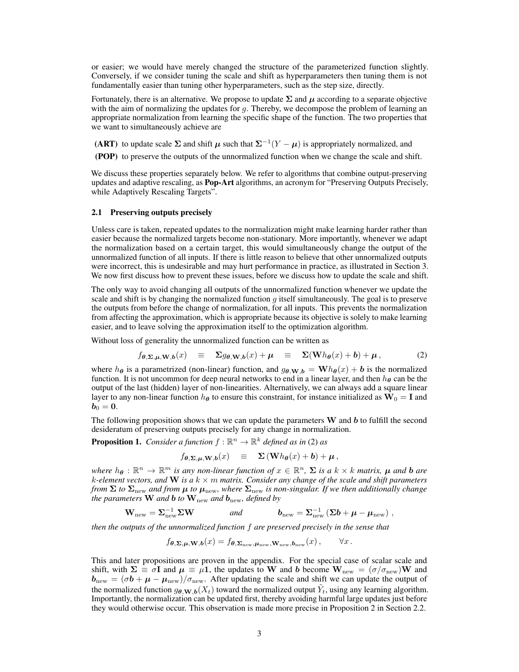or easier; we would have merely changed the structure of the parameterized function slightly. Conversely, if we consider tuning the scale and shift as hyperparameters then tuning them is not fundamentally easier than tuning other hyperparameters, such as the step size, directly.

Fortunately, there is an alternative. We propose to update  $\Sigma$  and  $\mu$  according to a separate objective with the aim of normalizing the updates for *g*. Thereby, we decompose the problem of learning an appropriate normalization from learning the specific shape of the function. The two properties that we want to simultaneously achieve are

(ART) to update scale  $\Sigma$  and shift  $\mu$  such that  $\Sigma^{-1}(Y - \mu)$  is appropriately normalized, and

(POP) to preserve the outputs of the unnormalized function when we change the scale and shift.

We discuss these properties separately below. We refer to algorithms that combine output-preserving updates and adaptive rescaling, as **Pop-Art** algorithms, an acronym for "Preserving Outputs Precisely, while Adaptively Rescaling Targets".

## 2.1 Preserving outputs precisely

Unless care is taken, repeated updates to the normalization might make learning harder rather than easier because the normalized targets become non-stationary. More importantly, whenever we adapt the normalization based on a certain target, this would simultaneously change the output of the unnormalized function of all inputs. If there is little reason to believe that other unnormalized outputs were incorrect, this is undesirable and may hurt performance in practice, as illustrated in Section [3.](#page-5-0) We now first discuss how to prevent these issues, before we discuss how to update the scale and shift.

The only way to avoid changing all outputs of the unnormalized function whenever we update the scale and shift is by changing the normalized function *g* itself simultaneously. The goal is to preserve the outputs from before the change of normalization, for all inputs. This prevents the normalization from affecting the approximation, which is appropriate because its objective is solely to make learning easier, and to leave solving the approximation itself to the optimization algorithm.

Without loss of generality the unnormalized function can be written as

$$
f_{\theta,\Sigma,\mu,W,b}(x) \equiv \Sigma g_{\theta,W,b}(x) + \mu \equiv \Sigma(\mathbf{W}h_{\theta}(x) + b) + \mu, \qquad (2)
$$

where *h*<sub> $\theta$ </sub> is a parametrized (non-linear) function, and  $g_{\theta, \mathbf{W}, \mathbf{b}} = \mathbf{W} h_{\theta}(x) + \mathbf{b}$  is the normalized function. It is not uncommon for deep neural networks to end in a linear layer, and then  $h_{\theta}$  can be the output of the last (hidden) layer of non-linearities. Alternatively, we can always add a square linear layer to any non-linear function  $h_{\theta}$  to ensure this constraint, for instance initialized as  $W_0 = I$  and  $b_0 = 0.$ 

The following proposition shows that we can update the parameters W and *b* to fulfill the second desideratum of preserving outputs precisely for any change in normalization.

**Proposition 1.** *Consider a function*  $f : \mathbb{R}^n \to \mathbb{R}^k$  *defined as in* [\(2\)](#page-2-0) *as* 

<span id="page-2-0"></span>
$$
f_{\theta, \Sigma, \mu, \mathbf{W}, b}(x) \equiv \Sigma(\mathbf{W} h_{\theta}(x) + b) + \mu,
$$

*where*  $h_{\theta}: \mathbb{R}^n \to \mathbb{R}^m$  *is any non-linear function of*  $x \in \mathbb{R}^n$ ,  $\Sigma$  *is a*  $k \times k$  *matrix,*  $\mu$  *and*  $b$  *are k*-element vectors, and **W** is a  $k \times m$  *matrix. Consider any change of the scale and shift parameters from*  $\Sigma$  *to*  $\Sigma$ <sub>new</sub> and from  $\mu$  *to*  $\mu$ <sub>new</sub>, where  $\Sigma$ <sub>new</sub> *is non-singular. If we then additionally change the parameters* **W** *and b to*  $\mathbf{W}_{\text{new}}$  *and*  $\mathbf{b}_{\text{new}}$ *, defined by* 

$$
\mathbf{W}_{\text{new}} = \mathbf{\Sigma}_{\text{new}}^{-1} \mathbf{\Sigma} \mathbf{W} \qquad \text{and} \qquad \mathbf{b}_{\text{new}} = \mathbf{\Sigma}_{\text{new}}^{-1} \left( \mathbf{\Sigma} \mathbf{b} + \boldsymbol{\mu} - \boldsymbol{\mu}_{\text{new}} \right) ,
$$

*then the outputs of the unnormalized function f are preserved precisely in the sense that*

$$
f_{\boldsymbol{\theta}, \boldsymbol{\Sigma}, \boldsymbol{\mu}, \mathbf{W}, \boldsymbol{b}}(x) = f_{\boldsymbol{\theta}, \boldsymbol{\Sigma}_{\text{new}}, \boldsymbol{\mu}_{\text{new}}, \mathbf{W}_{\text{new}}, \boldsymbol{b}_{\text{new}}}(x), \qquad \forall x.
$$

This and later propositions are proven in the appendix. For the special case of scalar scale and shift, with  $\Sigma = \sigma I$  and  $\mu = \mu I$ , the updates to W and *b* become  $W_{\text{new}} = (\sigma/\sigma_{\text{new}})W$  and  $b_{\text{new}} = (\sigma b + \mu - \mu_{\text{new}})/\sigma_{\text{new}}$ . After updating the scale and shift we can update the output of the normalized function  $g_{\theta,\mathbf{W},b}(X_t)$  toward the normalized output  $\tilde{Y}_t$ , using any learning algorithm. Importantly, the normalization can be updated first, thereby avoiding harmful large updates just before they would otherwise occur. This observation is made more precise in Proposition [2](#page-3-0) in Section [2.2.](#page-3-1)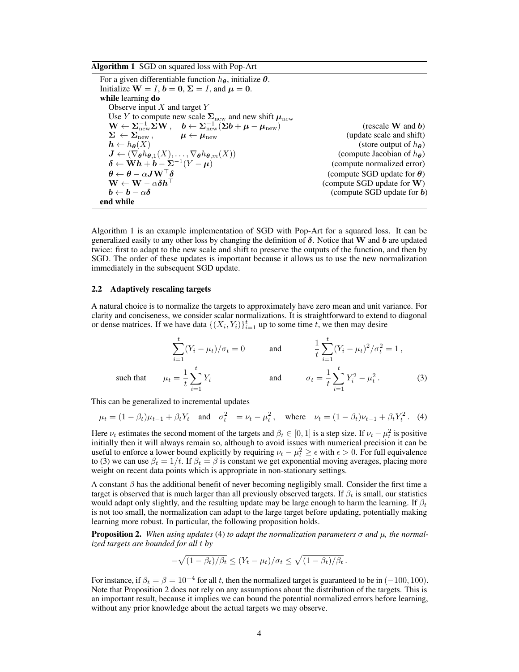<span id="page-3-2"></span>Algorithm 1 SGD on squared loss with Pop-Art

For a given differentiable function  $h_{\theta}$ , initialize  $\theta$ . Initialize  $W = I$ ,  $b = 0$ ,  $\Sigma = I$ , and  $\mu = 0$ . while learning do Observe input *X* and target *Y* Use *Y* to compute new scale  $\Sigma$ <sub>new</sub> and new shift  $\mu$ <sub>new</sub>  $\mathbf{W} \leftarrow \sum_{\text{new}}^{-1} \Sigma \mathbf{W}, \quad \mathbf{b} \leftarrow \Sigma_{\text{new}}^{-1} (\Sigma \mathbf{b} + \mu - \mu_{\text{new}})$  (rescale W and *b*)  $\Sigma \leftarrow \Sigma_{\text{new}}$ ,  $\mu \leftarrow \mu_{\text{new}}$  (update scale and shift)<br>  $h \leftarrow h_{\theta}(X)$  (store output of  $h_{\theta}$ ) (*Store output of*  $h_{\theta}$ ) (*Compute Jacobian of*  $h_{\theta}$ )  $J \leftarrow (\nabla_{\theta} h_{\theta,1}(X), \ldots, \nabla_{\theta} h_{\theta,m}(X))$  (compute Jacobian of *h*<sub> $\theta$ </sub>) (compute normalized error)  $\delta \leftarrow \mathbf{W} \mathbf{h} + \mathbf{b} - \mathbf{\Sigma}^{-1} (Y - \boldsymbol{\mu})$ <br>  $\boldsymbol{\theta} \leftarrow \boldsymbol{\theta} - \alpha \boldsymbol{J} \mathbf{W}^\top \boldsymbol{\delta}$  $\theta \leftarrow \theta - \alpha J \mathbf{W}^{\dagger} \delta$  (compute SGD update for  $\theta$ )<br>  $\mathbf{W} \leftarrow \mathbf{W} - \alpha \delta \mathbf{h}^{\dagger}$  (compute SGD update for W)  $W \leftarrow W - \alpha \delta h$ <sup>1</sup> (compute SGD update for W)<br>  $b \leftarrow b - \alpha \delta$  (compute SGD update for b) (compute SGD update for **)** end while

Algorithm [1](#page-3-2) is an example implementation of SGD with Pop-Art for a squared loss. It can be generalized easily to any other loss by changing the definition of  $\delta$ . Notice that **W** and *b* are updated twice: first to adapt to the new scale and shift to preserve the outputs of the function, and then by SGD. The order of these updates is important because it allows us to use the new normalization immediately in the subsequent SGD update.

## <span id="page-3-1"></span>2.2 Adaptively rescaling targets

A natural choice is to normalize the targets to approximately have zero mean and unit variance. For clarity and conciseness, we consider scalar normalizations. It is straightforward to extend to diagonal or dense matrices. If we have data  $\{(X_i, Y_i)\}_{i=1}^t$  up to some time *t*, we then may desire

<span id="page-3-3"></span>
$$
\sum_{i=1}^{t} (Y_i - \mu_t) / \sigma_t = 0 \quad \text{and} \quad \frac{1}{t} \sum_{i=1}^{t} (Y_i - \mu_t)^2 / \sigma_t^2 = 1,
$$
\nsuch that

\n
$$
\mu_t = \frac{1}{t} \sum_{i=1}^{t} Y_i \quad \text{and} \quad \sigma_t = \frac{1}{t} \sum_{i=1}^{t} Y_i^2 - \mu_t^2.
$$
\n(3)

This can be generalized to incremental updates

$$
\mu_t = (1 - \beta_t)\mu_{t-1} + \beta_t Y_t
$$
 and  $\sigma_t^2 = \nu_t - \mu_t^2$ , where  $\nu_t = (1 - \beta_t)\nu_{t-1} + \beta_t Y_t^2$ . (4)

Here  $\nu_t$  estimates the second moment of the targets and  $\beta_t \in [0, 1]$  is a step size. If  $\nu_t - \mu_t^2$  is positive initially then it will always remain so, although to avoid issues with numerical precision it can be useful to enforce a lower bound explicitly by requiring  $\nu_t - \mu_t^2 \geq \epsilon$  with  $\epsilon > 0$ . For full equivalence to [\(3\)](#page-3-3) we can use  $\beta_t = 1/t$ . If  $\beta_t = \beta$  is constant we get exponential moving averages, placing more weight on recent data points which is appropriate in non-stationary settings.

A constant  $\beta$  has the additional benefit of never becoming negligibly small. Consider the first time a target is observed that is much larger than all previously observed targets. If  $\beta_t$  is small, our statistics would adapt only slightly, and the resulting update may be large enough to harm the learning. If  $\beta_t$ is not too small, the normalization can adapt to the large target before updating, potentially making learning more robust. In particular, the following proposition holds.

<span id="page-3-0"></span>**Proposition 2.** When using updates [\(4\)](#page-3-4) to adapt the normalization parameters  $\sigma$  and  $\mu$ , the normal*ized targets are bounded for all t by*

<span id="page-3-4"></span>
$$
-\sqrt{(1-\beta_t)/\beta_t} \le (Y_t - \mu_t)/\sigma_t \le \sqrt{(1-\beta_t)/\beta_t}.
$$

For instance, if  $\beta_t = \beta = 10^{-4}$  for all t, then the normalized target is guaranteed to be in  $(-100, 100)$ . Note that Proposition [2](#page-3-0) does not rely on any assumptions about the distribution of the targets. This is an important result, because it implies we can bound the potential normalized errors before learning, without any prior knowledge about the actual targets we may observe.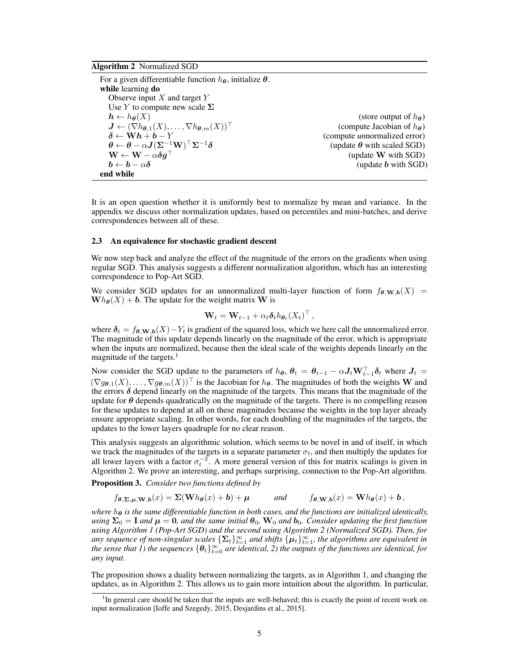#### <span id="page-4-1"></span>Algorithm 2 Normalized SGD

For a given differentiable function  $h_{\theta}$ , initialize  $\theta$ . while learning do Observe input *X* and target *Y* Use  $Y$  to compute new scale  $\Sigma$  $h \leftarrow h_{\theta}(X)$  (store output of *h*<sub> $\theta$ </sub>)<br>  $J \leftarrow (\nabla h_{\theta,1}(X), \dots, \nabla h_{\theta,m}(X))^{\top}$  (compute Jacobian of *h*<sub> $\theta$ </sub>)  $J \leftarrow (\nabla h_{\boldsymbol{\theta},1}(X), \ldots, \nabla h_{\boldsymbol{\theta},m}(X))^{\top}$ <br>  $\boldsymbol{\delta} \leftarrow \mathbf{W} \boldsymbol{h} + \boldsymbol{b} - Y$ (compute *un*normalized error)<br>(update  $\theta$  with scaled SGD)  $\boldsymbol{\theta} \leftarrow \boldsymbol{\theta} - \alpha \boldsymbol{J} (\boldsymbol{\Sigma}^{-1} \mathbf{W})^{\top} \boldsymbol{\Sigma}^{-1} \boldsymbol{\delta} \ \mathbf{W} \leftarrow \mathbf{W} - \alpha \boldsymbol{\delta} \boldsymbol{q}^{\top}$  $\mathbf{W} \leftarrow \mathbf{W} - \alpha \delta \mathbf{g}^{\top}$  (update **W** with SGD)<br>  $\mathbf{b} \leftarrow \mathbf{b} - \alpha \delta$  (update **b** with SGD)  $\mu$  (update *b* with SGD) end while

It is an open question whether it is uniformly best to normalize by mean and variance. In the appendix we discuss other normalization updates, based on percentiles and mini-batches, and derive correspondences between all of these.

## 2.3 An equivalence for stochastic gradient descent

We now step back and analyze the effect of the magnitude of the errors on the gradients when using regular SGD. This analysis suggests a different normalization algorithm, which has an interesting correspondence to Pop-Art SGD.

We consider SGD updates for an unnormalized multi-layer function of form  $f_{\theta,\mathbf{W},\mathbf{b}}(X)$  =  $\mathbf{W}h_{\theta}(X) + \mathbf{b}$ . The update for the weight matrix **W** is

$$
\mathbf{W}_t = \mathbf{W}_{t-1} + \alpha_t \boldsymbol{\delta}_t h_{\boldsymbol{\theta}_t}(X_t)^\top,
$$

where  $\delta_t = f_{\theta, \mathbf{W}, b}(X) - Y_t$  is gradient of the squared loss, which we here call the unnormalized error. The magnitude of this update depends linearly on the magnitude of the error, which is appropriate when the inputs are normalized, because then the ideal scale of the weights depends linearly on the magnitude of the targets.<sup>1</sup>

Now consider the SGD update to the parameters of  $h_{\theta}$ ,  $\theta_t = \theta_{t-1} - \alpha J_t W_{t-1}^{\perp} \delta_t$  where  $J_t =$  $(\nabla g_{\theta,1}(X),\ldots,\nabla g_{\theta,m}(X))$ <sup>T</sup> is the Jacobian for *h*<sub> $\theta$ </sub>. The magnitudes of both the weights W and the errors  $\delta$  depend linearly on the magnitude of the targets. This means that the magnitude of the update for  $\theta$  depends quadratically on the magnitude of the targets. There is no compelling reason for these updates to depend at all on these magnitudes because the weights in the top layer already ensure appropriate scaling. In other words, for each doubling of the magnitudes of the targets, the updates to the lower layers quadruple for no clear reason.

This analysis suggests an algorithmic solution, which seems to be novel in and of itself, in which we track the magnitudes of the targets in a separate parameter  $\sigma_t$ , and then multiply the updates for all lower layers with a factor  $\sigma_t^{-2}$ . A more general version of this for matrix scalings is given in Algorithm 2. We prove an interesting, and perhaps surprising, connection to the Pop-Art algorithm.

Proposition 3. *Consider two functions defined by*

$$
f_{\theta, \Sigma, \mu, W, b}(x) = \Sigma (W h_{\theta}(x) + b) + \mu
$$
 and  $f_{\theta, W, b}(x) = W h_{\theta}(x) + b$ ,

*where*  $h_{\theta}$  *is the same differentiable function in both cases, and the functions are initialized identically, using*  $\Sigma_0 = I$  *and*  $\mu = 0$ *, and the same initial*  $\theta_0$ *,*  $W_0$  *and*  $b_0$ *. Consider updating the first function using Algorithm [1](#page-3-2) (Pop-Art SGD) and the second using Algorithm [2](#page-4-1) (Normalized SGD). Then, for any sequence of non-singular scales*  $\{\mathbf{\Sigma}_t\}_{t=1}^{\infty}$  *and shifts*  $\{\boldsymbol{\mu}_t\}_{t=1}^{\infty}$ *, the algorithms are equivalent in* the sense that 1) the sequences  $\{\bm{\theta}_t\}_{t=0}^\infty$  are identical, 2) the outputs of the functions are identical, for *any input.*

The proposition shows a duality between normalizing the targets, as in Algorithm [1,](#page-3-2) and changing the updates, as in Algorithm [2.](#page-4-1) This allows us to gain more intuition about the algorithm. In particular,

<span id="page-4-0"></span><sup>&</sup>lt;sup>1</sup>In general care should be taken that the inputs are well-behaved; this is exactly the point of recent work on input normalization [\[Ioffe and Szegedy, 2015,](#page-8-8) [Desjardins et al., 2015\]](#page-8-9).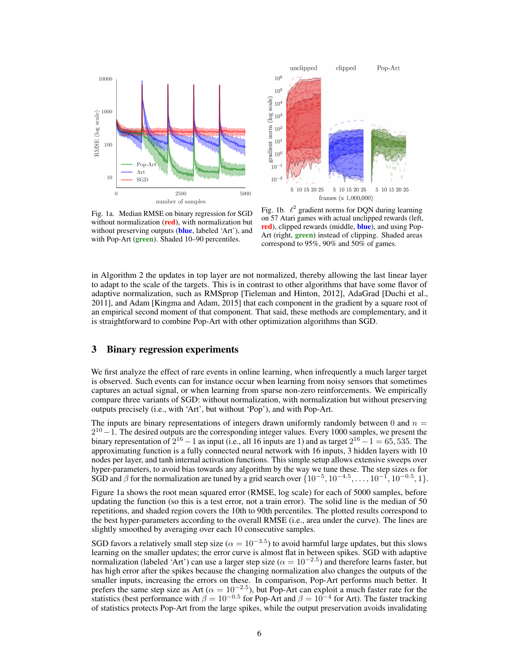



Fig. 1a. Median RMSE on binary regression for SGD without normalization (red), with normalization but without preserving outputs (**blue**, labeled 'Art'), and with Pop-Art (green). Shaded 10–90 percentiles.

Fig. 1b.  $\ell^2$  gradient norms for DQN during learning on 57 Atari games with actual unclipped rewards (left, red), clipped rewards (middle, blue), and using Pop-Art (right, **green**) instead of clipping. Shaded areas correspond to 95%, 90% and 50% of games.

in Algorithm [2](#page-4-1) the updates in top layer are not normalized, thereby allowing the last linear layer to adapt to the scale of the targets. This is in contrast to other algorithms that have some flavor of adaptive normalization, such as RMSprop [\[Tieleman and Hinton, 2012\]](#page-8-21), AdaGrad [\[Duchi et al.,](#page-8-22) [2011\]](#page-8-22), and Adam [\[Kingma and Adam, 2015\]](#page-8-23) that each component in the gradient by a square root of an empirical second moment of that component. That said, these methods are complementary, and it is straightforward to combine Pop-Art with other optimization algorithms than SGD.

# <span id="page-5-0"></span>3 Binary regression experiments

We first analyze the effect of rare events in online learning, when infrequently a much larger target is observed. Such events can for instance occur when learning from noisy sensors that sometimes captures an actual signal, or when learning from sparse non-zero reinforcements. We empirically compare three variants of SGD: without normalization, with normalization but without preserving outputs precisely (i.e., with 'Art', but without 'Pop'), and with Pop-Art.

The inputs are binary representations of integers drawn uniformly randomly between 0 and  $n =$  $2^{10}-1$ . The desired outputs are the corresponding integer values. Every 1000 samples, we present the binary representation of  $2^{16} - 1$  as input (i.e., all 16 inputs are 1) and as target  $2^{16} - 1 = 65,535$ . The approximating function is a fully connected neural network with 16 inputs, 3 hidden layers with 10 nodes per layer, and tanh internal activation functions. This simple setup allows extensive sweeps over hyper-parameters, to avoid bias towards any algorithm by the way we tune these. The step sizes  $\alpha$  for SGD and  $\beta$  for the normalization are tuned by a grid search over  $\{10^{-5}, 10^{-4.5}, \ldots, 10^{-1}, 10^{-0.5}, 1\}$ .

Figure 1a shows the root mean squared error (RMSE, log scale) for each of 5000 samples, before updating the function (so this is a test error, not a train error). The solid line is the median of 50 repetitions, and shaded region covers the 10th to 90th percentiles. The plotted results correspond to the best hyper-parameters according to the overall RMSE (i.e., area under the curve). The lines are slightly smoothed by averaging over each 10 consecutive samples.

SGD favors a relatively small step size ( $\alpha = 10^{-3.5}$ ) to avoid harmful large updates, but this slows learning on the smaller updates; the error curve is almost flat in between spikes. SGD with adaptive normalization (labeled 'Art') can use a larger step size ( $\alpha = 10^{-2.5}$ ) and therefore learns faster, but has high error after the spikes because the changing normalization also changes the outputs of the smaller inputs, increasing the errors on these. In comparison, Pop-Art performs much better. It prefers the same step size as Art ( $\alpha = 10^{-2.5}$ ), but Pop-Art can exploit a much faster rate for the statistics (best performance with  $\beta = 10^{-0.5}$  for Pop-Art and  $\beta = 10^{-4}$  for Art). The faster tracking of statistics protects Pop-Art from the large spikes, while the output preservation avoids invalidating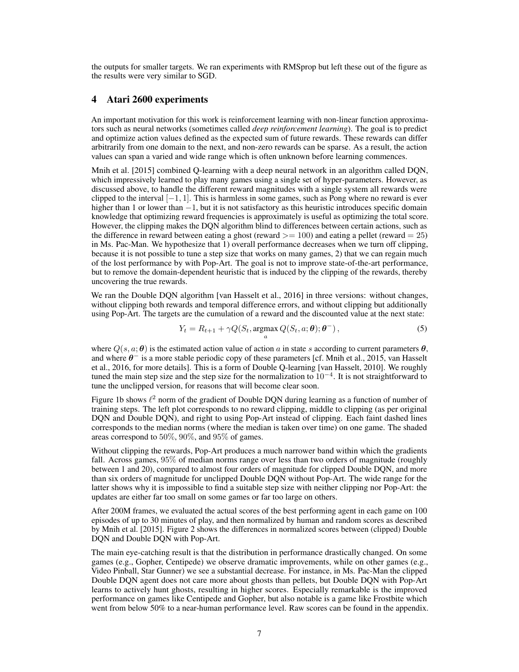the outputs for smaller targets. We ran experiments with RMSprop but left these out of the figure as the results were very similar to SGD.

# 4 Atari 2600 experiments

An important motivation for this work is reinforcement learning with non-linear function approximators such as neural networks (sometimes called *deep reinforcement learning*). The goal is to predict and optimize action values defined as the expected sum of future rewards. These rewards can differ arbitrarily from one domain to the next, and non-zero rewards can be sparse. As a result, the action values can span a varied and wide range which is often unknown before learning commences.

[Mnih et al.](#page-8-3) [\[2015\]](#page-8-3) combined Q-learning with a deep neural network in an algorithm called DQN, which impressively learned to play many games using a single set of hyper-parameters. However, as discussed above, to handle the different reward magnitudes with a single system all rewards were clipped to the interval  $[-1, 1]$ . This is harmless in some games, such as Pong where no reward is ever higher than 1 or lower than  $-1$ , but it is not satisfactory as this heuristic introduces specific domain knowledge that optimizing reward frequencies is approximately is useful as optimizing the total score. However, the clipping makes the DQN algorithm blind to differences between certain actions, such as the difference in reward between eating a ghost (reward *>*= 100) and eating a pellet (reward = 25) in Ms. Pac-Man. We hypothesize that 1) overall performance decreases when we turn off clipping, because it is not possible to tune a step size that works on many games, 2) that we can regain much of the lost performance by with Pop-Art. The goal is not to improve state-of-the-art performance, but to remove the domain-dependent heuristic that is induced by the clipping of the rewards, thereby uncovering the true rewards.

We ran the Double DQN algorithm [\[van Hasselt et al., 2016\]](#page-8-11) in three versions: without changes, without clipping both rewards and temporal difference errors, and without clipping but additionally using Pop-Art. The targets are the cumulation of a reward and the discounted value at the next state:

$$
Y_t = R_{t+1} + \gamma Q(S_t, \operatorname*{argmax}_a Q(S_t, a; \theta); \theta^-),
$$
\n<sup>(5)</sup>

where  $Q(s, a; \theta)$  is the estimated action value of action *a* in state *s* according to current parameters  $\theta$ , and where  $\theta^-$  is a more stable periodic copy of these parameters [cf. [Mnih et al., 2015,](#page-8-3) [van Hasselt](#page-8-11) [et al., 2016,](#page-8-11) for more details]. This is a form of Double Q-learning [\[van Hasselt, 2010\]](#page-8-24). We roughly tuned the main step size and the step size for the normalization to  $10^{-4}$ . It is not straightforward to tune the unclipped version, for reasons that will become clear soon.

Figure 1b shows  $\ell^2$  norm of the gradient of Double DQN during learning as a function of number of training steps. The left plot corresponds to no reward clipping, middle to clipping (as per original DQN and Double DQN), and right to using Pop-Art instead of clipping. Each faint dashed lines corresponds to the median norms (where the median is taken over time) on one game. The shaded areas correspond to 50%, 90%, and 95% of games.

Without clipping the rewards, Pop-Art produces a much narrower band within which the gradients fall. Across games, 95% of median norms range over less than two orders of magnitude (roughly between 1 and 20), compared to almost four orders of magnitude for clipped Double DQN, and more than six orders of magnitude for unclipped Double DQN without Pop-Art. The wide range for the latter shows why it is impossible to find a suitable step size with neither clipping nor Pop-Art: the updates are either far too small on some games or far too large on others.

After 200M frames, we evaluated the actual scores of the best performing agent in each game on 100 episodes of up to 30 minutes of play, and then normalized by human and random scores as described by [Mnih et al.](#page-8-3) [\[2015\]](#page-8-3). Figure [2](#page-7-2) shows the differences in normalized scores between (clipped) Double DQN and Double DQN with Pop-Art.

The main eye-catching result is that the distribution in performance drastically changed. On some games (e.g., Gopher, Centipede) we observe dramatic improvements, while on other games (e.g., Video Pinball, Star Gunner) we see a substantial decrease. For instance, in Ms. Pac-Man the clipped Double DQN agent does not care more about ghosts than pellets, but Double DQN with Pop-Art learns to actively hunt ghosts, resulting in higher scores. Especially remarkable is the improved performance on games like Centipede and Gopher, but also notable is a game like Frostbite which went from below 50% to a near-human performance level. Raw scores can be found in the appendix.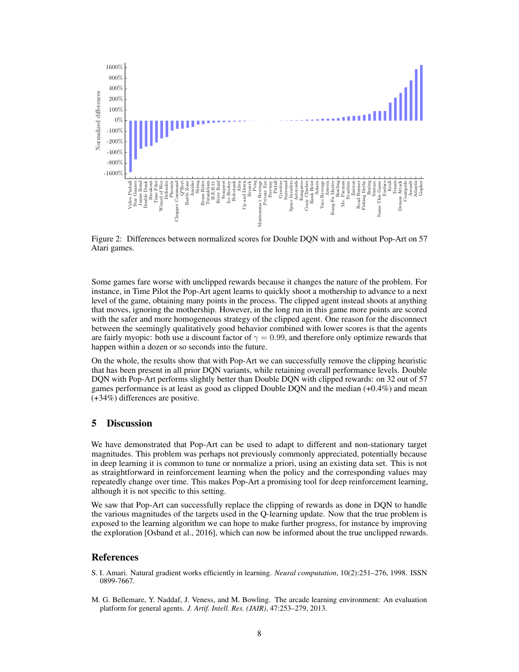<span id="page-7-2"></span>

Figure 2: Differences between normalized scores for Double DQN with and without Pop-Art on 57 Atari games.

Some games fare worse with unclipped rewards because it changes the nature of the problem. For instance, in Time Pilot the Pop-Art agent learns to quickly shoot a mothership to advance to a next level of the game, obtaining many points in the process. The clipped agent instead shoots at anything that moves, ignoring the mothership. However, in the long run in this game more points are scored with the safer and more homogeneous strategy of the clipped agent. One reason for the disconnect between the seemingly qualitatively good behavior combined with lower scores is that the agents are fairly myopic: both use a discount factor of  $\gamma = 0.99$ , and therefore only optimize rewards that happen within a dozen or so seconds into the future.

On the whole, the results show that with Pop-Art we can successfully remove the clipping heuristic that has been present in all prior DQN variants, while retaining overall performance levels. Double DQN with Pop-Art performs slightly better than Double DQN with clipped rewards: on 32 out of 57 games performance is at least as good as clipped Double DQN and the median (+0.4%) and mean (+34%) differences are positive.

# 5 Discussion

We have demonstrated that Pop-Art can be used to adapt to different and non-stationary target magnitudes. This problem was perhaps not previously commonly appreciated, potentially because in deep learning it is common to tune or normalize a priori, using an existing data set. This is not as straightforward in reinforcement learning when the policy and the corresponding values may repeatedly change over time. This makes Pop-Art a promising tool for deep reinforcement learning, although it is not specific to this setting.

We saw that Pop-Art can successfully replace the clipping of rewards as done in DQN to handle the various magnitudes of the targets used in the Q-learning update. Now that the true problem is exposed to the learning algorithm we can hope to make further progress, for instance by improving the exploration [\[Osband et al., 2016\]](#page-8-25), which can now be informed about the true unclipped rewards.

## References

- <span id="page-7-1"></span>S. I. Amari. Natural gradient works efficiently in learning. *Neural computation*, 10(2):251–276, 1998. ISSN 0899-7667.
- <span id="page-7-0"></span>M. G. Bellemare, Y. Naddaf, J. Veness, and M. Bowling. The arcade learning environment: An evaluation platform for general agents. *J. Artif. Intell. Res. (JAIR)*, 47:253–279, 2013.